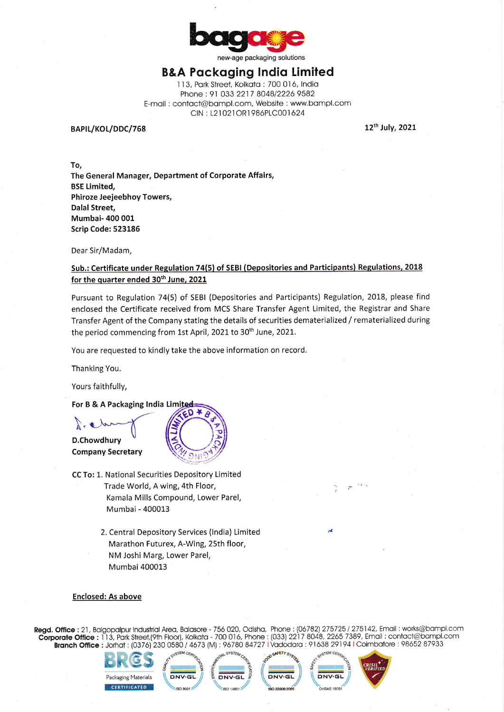

# B&A Packaging India Limited

113, Park Street, Kolkata : 700 016, India Phone: 91 033 2217 8048/2226 9582 E-mail : contact@bampl.com, Website : www.bampl.com CIN : L2l 021 ORl 986PLC00l 624

## BAPIL/KOL/DDC/768 2021

To, The General Manager, Department of Corporate Affairs, BSE Limited, Phiroze Jeejeebhoy Towers, Dalal Street, Mumbai- 400 001 Scrip Code: 523186

Dear Sir/Madam,

### Sub.: Certificate under Regulation 74(5) of SEBI (Depositories and Participants) Regulations, 2018 for the quarter ended 30<sup>th</sup> June, 2021

Pursuant to Regulation 7a(5) of SEBI (Depositories and Participants) Regulation, 2018, please find enclosed the Certificate received from MCS Share Transfer Agent Limited, the Registrar and Share Transfer Agent of the Company stating the details of securities dematerialized / rematerialized during the period commencing from 1st April, 2021 to 30<sup>th</sup> June, 2021.

You are requested to kindly take the above information on record.

Thanking You.

Yours faithfully,

For B & A Packaging India Limited-\.

D.Chowdhury Company Secretary

- CC To: 1. National Securities Depository Limited Trade World, A wing, 4th Floor, Kamala Mills Compound, Lower Parel, Mumbai- 400013
	- 2. Central Depository Services (lndia) Limited Marathon Futurex, A-Wing, 25th floor, NM Joshi Marg, Lower Parel, **Mumbai 400013**

#### Enclosed: As above

Regd. Office : 21, Balgopalpur Industrial Area, Balasore - 756 020, Odisha, Phone : (06782) 275725 / 275142, Email : works@bampl.com **Corporate Office :** 113, Park Street,(9th Floor), Kolkata - 700 016, Phone : (033) 2217 8048, 2265 7389, Email : contact@bampl.com **Branch Office :** Jorhat : (0376) 230 0580 / 4673 (M) : 96780 84727 I Vadodara : 91638 29194 I Coimbatore : 98652 87933